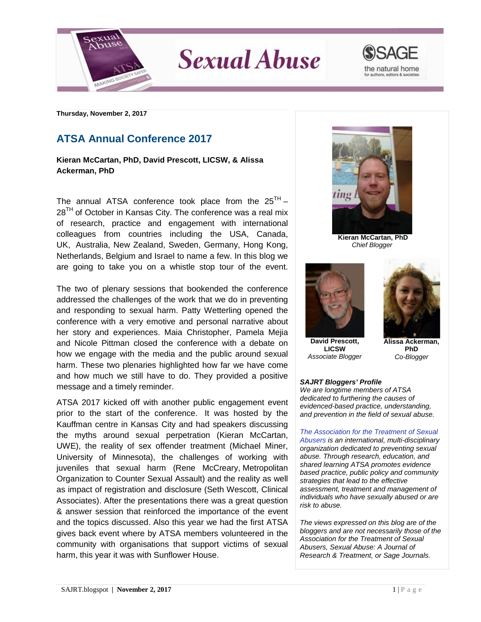

**Sexual Abuse** 



**Thursday, November 2, 2017**

## **ATSA Annual Conference 2017**

**Kieran McCartan, PhD, David Prescott, LICSW, & Alissa Ackerman, PhD**

The annual ATSA conference took place from the  $25<sup>TH</sup>$  –  $28<sup>TH</sup>$  of October in Kansas City. The conference was a real mix of research, practice and engagement with international colleagues from countries including the USA, Canada, UK, Australia, New Zealand, Sweden, Germany, Hong Kong, Netherlands, Belgium and Israel to name a few. In this blog we are going to take you on a whistle stop tour of the event.

The two of plenary sessions that bookended the conference addressed the challenges of the work that we do in preventing and responding to sexual harm. Patty Wetterling opened the conference with a very emotive and personal narrative about her story and experiences. Maia Christopher, Pamela Mejia and Nicole Pittman closed the conference with a debate on how we engage with the media and the public around sexual harm. These two plenaries highlighted how far we have come and how much we still have to do. They provided a positive message and a timely reminder.

ATSA 2017 kicked off with another public engagement event prior to the start of the conference. It was hosted by the Kauffman centre in Kansas City and had speakers discussing the myths around sexual perpetration (Kieran McCartan, UWE), the reality of sex offender treatment (Michael Miner, University of Minnesota), the challenges of working with juveniles that sexual harm (Rene McCreary, Metropolitan Organization to Counter Sexual Assault) and the reality as well as impact of registration and disclosure (Seth Wescott, Clinical Associates). After the presentations there was a great question & answer session that reinforced the importance of the event and the topics discussed. Also this year we had the first ATSA gives back event where by ATSA members volunteered in the community with organisations that support victims of sexual harm, this year it was with Sunflower House.



**Kieran McCartan, PhD** *Chief Blogger*



**David Prescott, LICSW** *Associate Blogger*



**Alissa Ackerman, PhD** *Co-Blogger*

## *SAJRT Bloggers' Profile*

*We are longtime members of ATSA dedicated to furthering the causes of evidenced-based practice, understanding, and prevention in the field of sexual abuse.*

*[The Association for the Treatment of Sexual](http://atsa.com/)  [Abusers](http://atsa.com/) is an international, multi-disciplinary organization dedicated to preventing sexual abuse. Through research, education, and shared learning ATSA promotes evidence based practice, public policy and community strategies that lead to the effective assessment, treatment and management of individuals who have sexually abused or are risk to abuse.* 

*The views expressed on this blog are of the bloggers and are not necessarily those of the Association for the Treatment of Sexual Abusers, Sexual Abuse: A Journal of Research & Treatment, or Sage Journals.*